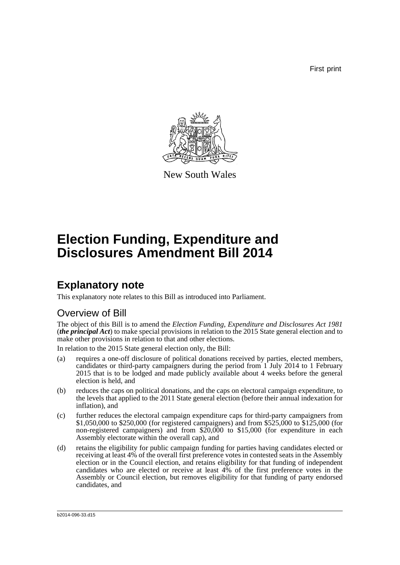First print



New South Wales

# **Election Funding, Expenditure and Disclosures Amendment Bill 2014**

## **Explanatory note**

This explanatory note relates to this Bill as introduced into Parliament.

### Overview of Bill

The object of this Bill is to amend the *Election Funding, Expenditure and Disclosures Act 1981* (*the principal Act*) to make special provisions in relation to the 2015 State general election and to make other provisions in relation to that and other elections.

In relation to the 2015 State general election only, the Bill:

- (a) requires a one-off disclosure of political donations received by parties, elected members, candidates or third-party campaigners during the period from 1 July 2014 to 1 February 2015 that is to be lodged and made publicly available about 4 weeks before the general election is held, and
- (b) reduces the caps on political donations, and the caps on electoral campaign expenditure, to the levels that applied to the 2011 State general election (before their annual indexation for inflation), and
- (c) further reduces the electoral campaign expenditure caps for third-party campaigners from \$1,050,000 to \$250,000 (for registered campaigners) and from \$525,000 to \$125,000 (for non-registered campaigners) and from \$20,000 to \$15,000 (for expenditure in each Assembly electorate within the overall cap), and
- (d) retains the eligibility for public campaign funding for parties having candidates elected or receiving at least 4% of the overall first preference votes in contested seats in the Assembly election or in the Council election, and retains eligibility for that funding of independent candidates who are elected or receive at least 4% of the first preference votes in the Assembly or Council election, but removes eligibility for that funding of party endorsed candidates, and

b2014-096-33.d15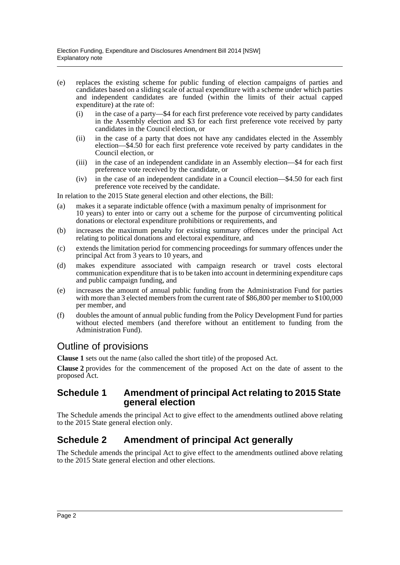- (e) replaces the existing scheme for public funding of election campaigns of parties and candidates based on a sliding scale of actual expenditure with a scheme under which parties and independent candidates are funded (within the limits of their actual capped expenditure) at the rate of:
	- (i) in the case of a party—\$4 for each first preference vote received by party candidates in the Assembly election and \$3 for each first preference vote received by party candidates in the Council election, or
	- (ii) in the case of a party that does not have any candidates elected in the Assembly election—\$4.50 for each first preference vote received by party candidates in the Council election, or
	- (iii) in the case of an independent candidate in an Assembly election—\$4 for each first preference vote received by the candidate, or
	- (iv) in the case of an independent candidate in a Council election—\$4.50 for each first preference vote received by the candidate.

In relation to the 2015 State general election and other elections, the Bill:

- (a) makes it a separate indictable offence (with a maximum penalty of imprisonment for 10 years) to enter into or carry out a scheme for the purpose of circumventing political donations or electoral expenditure prohibitions or requirements, and
- (b) increases the maximum penalty for existing summary offences under the principal Act relating to political donations and electoral expenditure, and
- (c) extends the limitation period for commencing proceedings for summary offences under the principal Act from 3 years to 10 years, and
- (d) makes expenditure associated with campaign research or travel costs electoral communication expenditure that is to be taken into account in determining expenditure caps and public campaign funding, and
- (e) increases the amount of annual public funding from the Administration Fund for parties with more than 3 elected members from the current rate of \$86,800 per member to \$100,000 per member, and
- (f) doubles the amount of annual public funding from the Policy Development Fund for parties without elected members (and therefore without an entitlement to funding from the Administration Fund).

### Outline of provisions

**Clause 1** sets out the name (also called the short title) of the proposed Act.

**Clause 2** provides for the commencement of the proposed Act on the date of assent to the proposed Act.

### **Schedule 1 Amendment of principal Act relating to 2015 State general election**

The Schedule amends the principal Act to give effect to the amendments outlined above relating to the 2015 State general election only.

### **Schedule 2 Amendment of principal Act generally**

The Schedule amends the principal Act to give effect to the amendments outlined above relating to the 2015 State general election and other elections.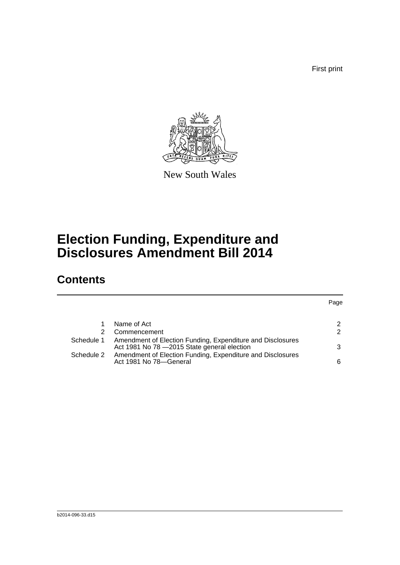First print



New South Wales

# **Election Funding, Expenditure and Disclosures Amendment Bill 2014**

## **Contents**

### Page

|            | Name of Act                                                                                                           | $\mathcal{P}$ |
|------------|-----------------------------------------------------------------------------------------------------------------------|---------------|
| 2          | Commencement                                                                                                          | $\mathcal{P}$ |
|            | Schedule 1 Amendment of Election Funding, Expenditure and Disclosures<br>Act 1981 No 78 - 2015 State general election | 3             |
| Schedule 2 | Amendment of Election Funding, Expenditure and Disclosures<br>Act 1981 No 78-General                                  | 6             |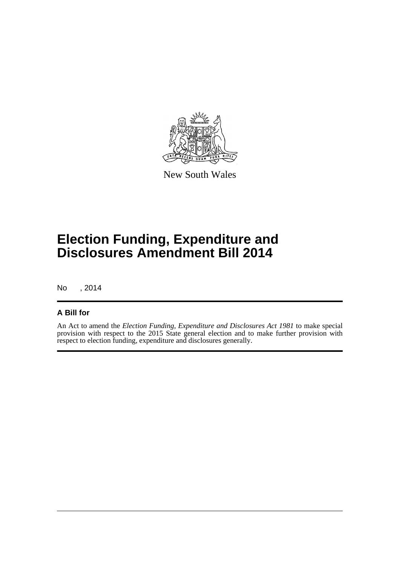

New South Wales

# **Election Funding, Expenditure and Disclosures Amendment Bill 2014**

No , 2014

### **A Bill for**

An Act to amend the *Election Funding, Expenditure and Disclosures Act 1981* to make special provision with respect to the 2015 State general election and to make further provision with respect to election funding, expenditure and disclosures generally.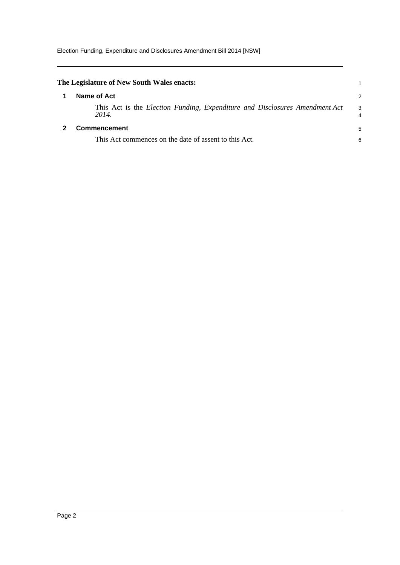<span id="page-4-1"></span><span id="page-4-0"></span>

| The Legislature of New South Wales enacts:                                           |        |
|--------------------------------------------------------------------------------------|--------|
| Name of Act                                                                          | 2      |
| This Act is the Election Funding, Expenditure and Disclosures Amendment Act<br>2014. | 3<br>4 |
| <b>Commencement</b>                                                                  |        |
| This Act commences on the date of assent to this Act.                                | 6      |
|                                                                                      |        |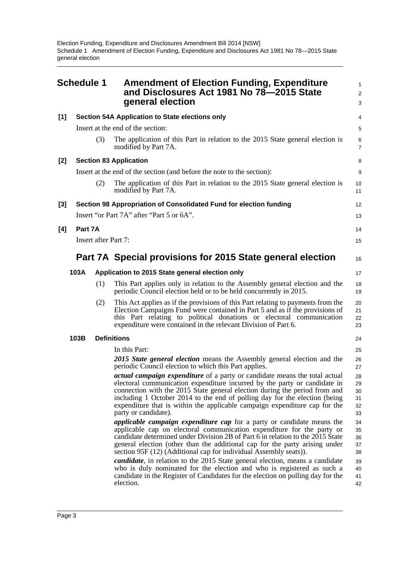<span id="page-5-0"></span>

|     | <b>Schedule 1</b> |                                                 | <b>Amendment of Election Funding, Expenditure</b><br>and Disclosures Act 1981 No 78-2015 State<br>general election                                                                                                                                                                                                                                                                                                               | 1<br>$\overline{2}$<br>3         |  |
|-----|-------------------|-------------------------------------------------|----------------------------------------------------------------------------------------------------------------------------------------------------------------------------------------------------------------------------------------------------------------------------------------------------------------------------------------------------------------------------------------------------------------------------------|----------------------------------|--|
| [1] |                   | Section 54A Application to State elections only |                                                                                                                                                                                                                                                                                                                                                                                                                                  |                                  |  |
|     |                   |                                                 | Insert at the end of the section:                                                                                                                                                                                                                                                                                                                                                                                                | 5                                |  |
|     |                   | (3)                                             | The application of this Part in relation to the 2015 State general election is<br>modified by Part 7A.                                                                                                                                                                                                                                                                                                                           | 6<br>$\overline{7}$              |  |
| [2] |                   |                                                 | <b>Section 83 Application</b>                                                                                                                                                                                                                                                                                                                                                                                                    | 8                                |  |
|     |                   |                                                 | Insert at the end of the section (and before the note to the section):                                                                                                                                                                                                                                                                                                                                                           | 9                                |  |
|     |                   | (2)                                             | The application of this Part in relation to the 2015 State general election is<br>modified by Part 7A.                                                                                                                                                                                                                                                                                                                           | 10<br>11                         |  |
| [3] |                   |                                                 | Section 98 Appropriation of Consolidated Fund for election funding                                                                                                                                                                                                                                                                                                                                                               | 12                               |  |
|     |                   |                                                 | Insert "or Part 7A" after "Part 5 or 6A".                                                                                                                                                                                                                                                                                                                                                                                        | 13                               |  |
| [4] | Part 7A           |                                                 |                                                                                                                                                                                                                                                                                                                                                                                                                                  | 14                               |  |
|     |                   | <b>Insert after Part 7:</b>                     |                                                                                                                                                                                                                                                                                                                                                                                                                                  | 15                               |  |
|     |                   |                                                 | Part 7A Special provisions for 2015 State general election                                                                                                                                                                                                                                                                                                                                                                       | 16                               |  |
|     | 103A              |                                                 | Application to 2015 State general election only                                                                                                                                                                                                                                                                                                                                                                                  | 17                               |  |
|     |                   | (1)                                             | This Part applies only in relation to the Assembly general election and the<br>periodic Council election held or to be held concurrently in 2015.                                                                                                                                                                                                                                                                                | 18<br>19                         |  |
|     |                   | (2)                                             | This Act applies as if the provisions of this Part relating to payments from the<br>Election Campaigns Fund were contained in Part 5 and as if the provisions of<br>this Part relating to political donations or electoral communication<br>expenditure were contained in the relevant Division of Part 6.                                                                                                                       | 20<br>21<br>22<br>23             |  |
|     | 103B              |                                                 | <b>Definitions</b>                                                                                                                                                                                                                                                                                                                                                                                                               | 24                               |  |
|     |                   |                                                 | In this Part:                                                                                                                                                                                                                                                                                                                                                                                                                    | 25                               |  |
|     |                   |                                                 | 2015 State general election means the Assembly general election and the<br>periodic Council election to which this Part applies.                                                                                                                                                                                                                                                                                                 | 26<br>27                         |  |
|     |                   |                                                 | <i>actual campaign expenditure</i> of a party or candidate means the total actual<br>electoral communication expenditure incurred by the party or candidate in<br>connection with the 2015 State general election during the period from and<br>including 1 October 2014 to the end of polling day for the election (being<br>expenditure that is within the applicable campaign expenditure cap for the<br>party or candidate). | 28<br>29<br>30<br>31<br>32<br>33 |  |
|     |                   |                                                 | <i>applicable campaign expenditure cap</i> for a party or candidate means the<br>applicable cap on electoral communication expenditure for the party or<br>candidate determined under Division 2B of Part 6 in relation to the 2015 State<br>general election (other than the additional cap for the party arising under<br>section 95F (12) (Additional cap for individual Assembly seats)).                                    | 34<br>35<br>36<br>37<br>38       |  |
|     |                   |                                                 | <i>candidate</i> , in relation to the 2015 State general election, means a candidate<br>who is duly nominated for the election and who is registered as such a<br>candidate in the Register of Candidates for the election on polling day for the<br>election.                                                                                                                                                                   | 39<br>40<br>41<br>42             |  |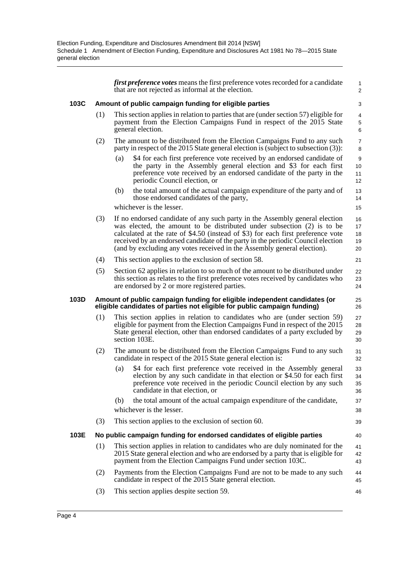*first preference votes* means the first preference votes recorded for a candidate that are not rejected as informal at the election.

1 2

25 26

40

44 45 46

#### **103C Amount of public campaign funding for eligible parties**

- (1) This section applies in relation to parties that are (under section 57) eligible for payment from the Election Campaigns Fund in respect of the 2015 State general election.
- (2) The amount to be distributed from the Election Campaigns Fund to any such party in respect of the 2015 State general election is (subject to subsection (3)):
	- (a) \$4 for each first preference vote received by an endorsed candidate of the party in the Assembly general election and \$3 for each first preference vote received by an endorsed candidate of the party in the periodic Council election, or
	- (b) the total amount of the actual campaign expenditure of the party and of those endorsed candidates of the party,

whichever is the lesser.

- (3) If no endorsed candidate of any such party in the Assembly general election was elected, the amount to be distributed under subsection (2) is to be calculated at the rate of \$4.50 (instead of \$3) for each first preference vote received by an endorsed candidate of the party in the periodic Council election (and by excluding any votes received in the Assembly general election). 16 17 18 19 20
- (4) This section applies to the exclusion of section 58.
- (5) Section 62 applies in relation to so much of the amount to be distributed under this section as relates to the first preference votes received by candidates who are endorsed by 2 or more registered parties.

#### **103D Amount of public campaign funding for eligible independent candidates (or eligible candidates of parties not eligible for public campaign funding)**

- (1) This section applies in relation to candidates who are (under section 59) eligible for payment from the Election Campaigns Fund in respect of the 2015 State general election, other than endorsed candidates of a party excluded by section 103E. 27 28 29 30
- (2) The amount to be distributed from the Election Campaigns Fund to any such candidate in respect of the 2015 State general election is:
	- (a) \$4 for each first preference vote received in the Assembly general election by any such candidate in that election or \$4.50 for each first preference vote received in the periodic Council election by any such candidate in that election, or
	- (b) the total amount of the actual campaign expenditure of the candidate, whichever is the lesser.
- (3) This section applies to the exclusion of section 60.

### **103E No public campaign funding for endorsed candidates of eligible parties**

- (1) This section applies in relation to candidates who are duly nominated for the 2015 State general election and who are endorsed by a party that is eligible for payment from the Election Campaigns Fund under section 103C. 41 42 43
- (2) Payments from the Election Campaigns Fund are not to be made to any such candidate in respect of the 2015 State general election.
- (3) This section applies despite section 59.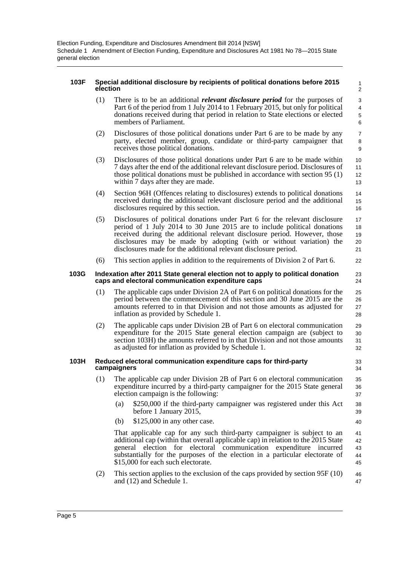### **103F Special additional disclosure by recipients of political donations before 2015 election**

(1) There is to be an additional *relevant disclosure period* for the purposes of Part 6 of the period from 1 July 2014 to 1 February 2015, but only for political donations received during that period in relation to State elections or elected members of Parliament.

22

- (2) Disclosures of those political donations under Part 6 are to be made by any party, elected member, group, candidate or third-party campaigner that receives those political donations.
- (3) Disclosures of those political donations under Part 6 are to be made within 7 days after the end of the additional relevant disclosure period. Disclosures of those political donations must be published in accordance with section 95 (1) within 7 days after they are made.
- (4) Section 96H (Offences relating to disclosures) extends to political donations received during the additional relevant disclosure period and the additional disclosures required by this section.
- (5) Disclosures of political donations under Part 6 for the relevant disclosure period of 1 July 2014 to 30 June 2015 are to include political donations received during the additional relevant disclosure period. However, those disclosures may be made by adopting (with or without variation) the disclosures made for the additional relevant disclosure period. 17 18 19 20 21
- (6) This section applies in addition to the requirements of Division 2 of Part 6.

#### **103G Indexation after 2011 State general election not to apply to political donation caps and electoral communication expenditure caps**

- (1) The applicable caps under Division 2A of Part 6 on political donations for the period between the commencement of this section and 30 June 2015 are the amounts referred to in that Division and not those amounts as adjusted for inflation as provided by Schedule 1.
- (2) The applicable caps under Division 2B of Part 6 on electoral communication expenditure for the 2015 State general election campaign are (subject to section 103H) the amounts referred to in that Division and not those amounts as adjusted for inflation as provided by Schedule 1. 29 30 31 32

### **103H Reduced electoral communication expenditure caps for third-party campaigners**

- (1) The applicable cap under Division 2B of Part 6 on electoral communication expenditure incurred by a third-party campaigner for the 2015 State general election campaign is the following:
	- (a) \$250,000 if the third-party campaigner was registered under this Act before 1 January 2015,
	- (b) \$125,000 in any other case.

That applicable cap for any such third-party campaigner is subject to an additional cap (within that overall applicable cap) in relation to the 2015 State general election for electoral communication expenditure incurred substantially for the purposes of the election in a particular electorate of \$15,000 for each such electorate. 41 42 43 44 45

(2) This section applies to the exclusion of the caps provided by section 95F (10) and (12) and Schedule 1. 46 47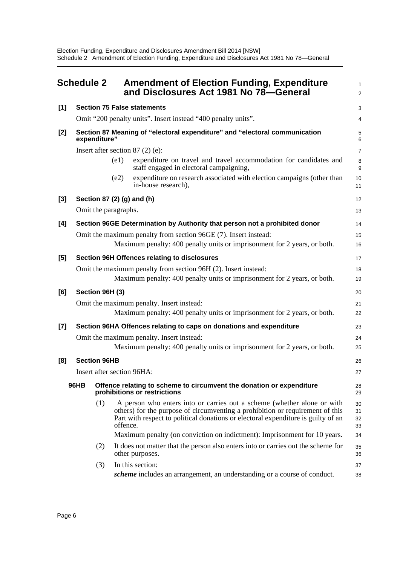<span id="page-8-0"></span>

|       | <b>Schedule 2</b>                                                                                                   |                                                                                            |          | <b>Amendment of Election Funding, Expenditure</b><br>and Disclosures Act 1981 No 78-General                                                                                                                                                   | 1<br>$\overline{a}$  |  |
|-------|---------------------------------------------------------------------------------------------------------------------|--------------------------------------------------------------------------------------------|----------|-----------------------------------------------------------------------------------------------------------------------------------------------------------------------------------------------------------------------------------------------|----------------------|--|
| $[1]$ |                                                                                                                     |                                                                                            |          | <b>Section 75 False statements</b>                                                                                                                                                                                                            | 3                    |  |
|       |                                                                                                                     |                                                                                            |          | Omit "200 penalty units". Insert instead "400 penalty units".                                                                                                                                                                                 | 4                    |  |
| [2]   |                                                                                                                     | Section 87 Meaning of "electoral expenditure" and "electoral communication<br>expenditure" |          |                                                                                                                                                                                                                                               |                      |  |
|       |                                                                                                                     |                                                                                            |          | Insert after section $87(2)$ (e):                                                                                                                                                                                                             | 7                    |  |
|       |                                                                                                                     |                                                                                            | (e1)     | expenditure on travel and travel accommodation for candidates and<br>staff engaged in electoral campaigning,                                                                                                                                  | 8<br>9               |  |
|       |                                                                                                                     |                                                                                            | (e2)     | expenditure on research associated with election campaigns (other than<br>in-house research),                                                                                                                                                 | 10<br>11             |  |
| $[3]$ |                                                                                                                     |                                                                                            |          | Section 87 (2) (g) and (h)                                                                                                                                                                                                                    | 12                   |  |
|       |                                                                                                                     | Omit the paragraphs.                                                                       |          |                                                                                                                                                                                                                                               | 13                   |  |
| [4]   |                                                                                                                     |                                                                                            |          | Section 96GE Determination by Authority that person not a prohibited donor                                                                                                                                                                    | 14                   |  |
|       |                                                                                                                     |                                                                                            |          | Omit the maximum penalty from section 96GE (7). Insert instead:                                                                                                                                                                               | 15                   |  |
|       |                                                                                                                     |                                                                                            |          | Maximum penalty: 400 penalty units or imprisonment for 2 years, or both.                                                                                                                                                                      | 16                   |  |
| $[5]$ |                                                                                                                     |                                                                                            |          | <b>Section 96H Offences relating to disclosures</b>                                                                                                                                                                                           | 17                   |  |
|       |                                                                                                                     |                                                                                            |          | Omit the maximum penalty from section 96H (2). Insert instead:                                                                                                                                                                                | 18                   |  |
|       |                                                                                                                     |                                                                                            |          | Maximum penalty: 400 penalty units or imprisonment for 2 years, or both.                                                                                                                                                                      | 19                   |  |
| [6]   |                                                                                                                     | Section 96H (3)                                                                            |          |                                                                                                                                                                                                                                               | 20                   |  |
|       |                                                                                                                     |                                                                                            |          | Omit the maximum penalty. Insert instead:                                                                                                                                                                                                     | 21                   |  |
|       |                                                                                                                     |                                                                                            |          | Maximum penalty: 400 penalty units or imprisonment for 2 years, or both.                                                                                                                                                                      | 22                   |  |
| $[7]$ |                                                                                                                     | Section 96HA Offences relating to caps on donations and expenditure                        |          |                                                                                                                                                                                                                                               |                      |  |
|       |                                                                                                                     | Omit the maximum penalty. Insert instead:                                                  |          |                                                                                                                                                                                                                                               |                      |  |
|       |                                                                                                                     |                                                                                            |          | Maximum penalty: 400 penalty units or imprisonment for 2 years, or both.                                                                                                                                                                      | 25                   |  |
| [8]   |                                                                                                                     | <b>Section 96HB</b>                                                                        |          |                                                                                                                                                                                                                                               |                      |  |
|       |                                                                                                                     | Insert after section 96HA:<br>27                                                           |          |                                                                                                                                                                                                                                               |                      |  |
|       | <b>96HB</b><br>Offence relating to scheme to circumvent the donation or expenditure<br>prohibitions or restrictions |                                                                                            |          | 28<br>29                                                                                                                                                                                                                                      |                      |  |
|       |                                                                                                                     | (1)                                                                                        | offence. | A person who enters into or carries out a scheme (whether alone or with<br>others) for the purpose of circumventing a prohibition or requirement of this<br>Part with respect to political donations or electoral expenditure is guilty of an | 30<br>31<br>32<br>33 |  |
|       |                                                                                                                     |                                                                                            |          | Maximum penalty (on conviction on indictment): Imprisonment for 10 years.                                                                                                                                                                     | 34                   |  |
|       |                                                                                                                     | (2)                                                                                        |          | It does not matter that the person also enters into or carries out the scheme for<br>other purposes.                                                                                                                                          | 35<br>36             |  |
|       |                                                                                                                     | (3)                                                                                        |          | In this section:                                                                                                                                                                                                                              | 37                   |  |
|       |                                                                                                                     |                                                                                            |          | <i>scheme</i> includes an arrangement, an understanding or a course of conduct.                                                                                                                                                               | 38                   |  |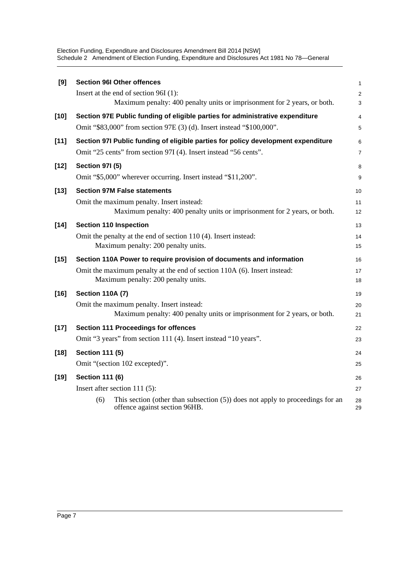Election Funding, Expenditure and Disclosures Amendment Bill 2014 [NSW] Schedule 2 Amendment of Election Funding, Expenditure and Disclosures Act 1981 No 78—General

| [9]    | <b>Section 96I Other offences</b>                                                                                        | $\mathbf{1}$   |  |  |  |
|--------|--------------------------------------------------------------------------------------------------------------------------|----------------|--|--|--|
|        | Insert at the end of section 96I (1):                                                                                    | $\overline{c}$ |  |  |  |
|        | Maximum penalty: 400 penalty units or imprisonment for 2 years, or both.                                                 | 3              |  |  |  |
| $[10]$ | Section 97E Public funding of eligible parties for administrative expenditure                                            | 4              |  |  |  |
|        | Omit "\$83,000" from section 97E (3) (d). Insert instead "\$100,000".                                                    | 5              |  |  |  |
| $[11]$ | Section 97I Public funding of eligible parties for policy development expenditure                                        | 6              |  |  |  |
|        | Omit "25 cents" from section 97I (4). Insert instead "56 cents".                                                         | $\overline{7}$ |  |  |  |
| $[12]$ | <b>Section 971 (5)</b>                                                                                                   | 8              |  |  |  |
|        | Omit "\$5,000" wherever occurring. Insert instead "\$11,200".                                                            | 9              |  |  |  |
| $[13]$ | <b>Section 97M False statements</b>                                                                                      | 10             |  |  |  |
|        | Omit the maximum penalty. Insert instead:                                                                                | 11             |  |  |  |
|        | Maximum penalty: 400 penalty units or imprisonment for 2 years, or both.                                                 | 12             |  |  |  |
| $[14]$ | <b>Section 110 Inspection</b>                                                                                            | 13             |  |  |  |
|        | Omit the penalty at the end of section 110 (4). Insert instead:                                                          | 14             |  |  |  |
|        | Maximum penalty: 200 penalty units.                                                                                      | 15             |  |  |  |
| $[15]$ | Section 110A Power to require provision of documents and information                                                     |                |  |  |  |
|        | Omit the maximum penalty at the end of section 110A (6). Insert instead:<br>Maximum penalty: 200 penalty units.          | 17<br>18       |  |  |  |
| $[16]$ | <b>Section 110A (7)</b>                                                                                                  |                |  |  |  |
|        | Omit the maximum penalty. Insert instead:                                                                                | 20             |  |  |  |
|        | Maximum penalty: 400 penalty units or imprisonment for 2 years, or both.                                                 | 21             |  |  |  |
| $[17]$ | <b>Section 111 Proceedings for offences</b>                                                                              | 22             |  |  |  |
|        | Omit "3 years" from section 111 (4). Insert instead "10 years".                                                          | 23             |  |  |  |
| $[18]$ | <b>Section 111 (5)</b>                                                                                                   | 24             |  |  |  |
|        | Omit "(section 102 excepted)".                                                                                           |                |  |  |  |
| $[19]$ | <b>Section 111 (6)</b>                                                                                                   | 26             |  |  |  |
|        | Insert after section 111 $(5)$ :                                                                                         | 27             |  |  |  |
|        | This section (other than subsection $(5)$ ) does not apply to proceedings for an<br>(6)<br>offence against section 96HB. | 28<br>29       |  |  |  |